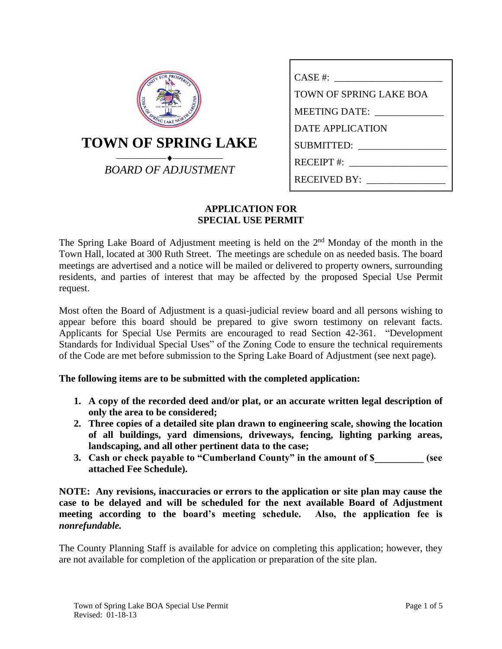| <b>PROSPERIT</b><br>FOR    |
|----------------------------|
| <b>TOWN OF SPRING LAKE</b> |
| <b>BOARD OF ADJUSTMENT</b> |

| CASE #:                 |
|-------------------------|
| TOWN OF SPRING LAKE BOA |
| MEETING DATE:           |
| DATE APPLICATION        |
| SUBMITTED:              |
| $RECEIPT$ #:            |
| RECEIVED BY:            |

## **APPLICATION FOR SPECIAL USE PERMIT**

The Spring Lake Board of Adjustment meeting is held on the  $2<sup>nd</sup>$  Monday of the month in the Town Hall, located at 300 Ruth Street. The meetings are schedule on as needed basis. The board meetings are advertised and a notice will be mailed or delivered to property owners, surrounding residents, and parties of interest that may be affected by the proposed Special Use Permit request.

Most often the Board of Adjustment is a quasi-judicial review board and all persons wishing to appear before this board should be prepared to give sworn testimony on relevant facts. Applicants for Special Use Permits are encouraged to read Section 42-361. "Development Standards for Individual Special Uses" of the Zoning Code to ensure the technical requirements of the Code are met before submission to the Spring Lake Board of Adjustment (see next page).

# **The following items are to be submitted with the completed application:**

- **1. A copy of the recorded deed and/or plat, or an accurate written legal description of only the area to be considered;**
- **2. Three copies of a detailed site plan drawn to engineering scale, showing the location of all buildings, yard dimensions, driveways, fencing, lighting parking areas, landscaping, and all other pertinent data to the case;**
- **3. Cash or check payable to "Cumberland County" in the amount of \$\_\_\_\_\_\_\_\_\_\_ (see attached Fee Schedule).**

**NOTE: Any revisions, inaccuracies or errors to the application or site plan may cause the case to be delayed and will be scheduled for the next available Board of Adjustment meeting according to the board's meeting schedule. Also, the application fee is**  *nonrefundable.*

The County Planning Staff is available for advice on completing this application; however, they are not available for completion of the application or preparation of the site plan.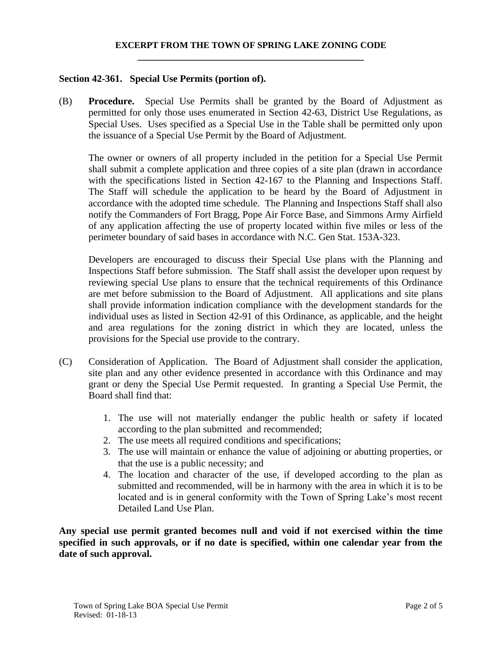## **EXCERPT FROM THE TOWN OF SPRING LAKE ZONING CODE \_\_\_\_\_\_\_\_\_\_\_\_\_\_\_\_\_\_\_\_\_\_\_\_\_\_\_\_\_\_\_\_\_\_\_\_\_\_\_\_\_\_\_\_\_\_**

#### **Section 42-361. Special Use Permits (portion of).**

(B) **Procedure.** Special Use Permits shall be granted by the Board of Adjustment as permitted for only those uses enumerated in Section 42-63, District Use Regulations, as Special Uses. Uses specified as a Special Use in the Table shall be permitted only upon the issuance of a Special Use Permit by the Board of Adjustment.

The owner or owners of all property included in the petition for a Special Use Permit shall submit a complete application and three copies of a site plan (drawn in accordance with the specifications listed in Section 42-167 to the Planning and Inspections Staff. The Staff will schedule the application to be heard by the Board of Adjustment in accordance with the adopted time schedule. The Planning and Inspections Staff shall also notify the Commanders of Fort Bragg, Pope Air Force Base, and Simmons Army Airfield of any application affecting the use of property located within five miles or less of the perimeter boundary of said bases in accordance with N.C. Gen Stat. 153A-323.

Developers are encouraged to discuss their Special Use plans with the Planning and Inspections Staff before submission. The Staff shall assist the developer upon request by reviewing special Use plans to ensure that the technical requirements of this Ordinance are met before submission to the Board of Adjustment. All applications and site plans shall provide information indication compliance with the development standards for the individual uses as listed in Section 42-91 of this Ordinance, as applicable, and the height and area regulations for the zoning district in which they are located, unless the provisions for the Special use provide to the contrary.

- (C) Consideration of Application. The Board of Adjustment shall consider the application, site plan and any other evidence presented in accordance with this Ordinance and may grant or deny the Special Use Permit requested. In granting a Special Use Permit, the Board shall find that:
	- 1. The use will not materially endanger the public health or safety if located according to the plan submitted and recommended;
	- 2. The use meets all required conditions and specifications;
	- 3. The use will maintain or enhance the value of adjoining or abutting properties, or that the use is a public necessity; and
	- 4. The location and character of the use, if developed according to the plan as submitted and recommended, will be in harmony with the area in which it is to be located and is in general conformity with the Town of Spring Lake's most recent Detailed Land Use Plan.

**Any special use permit granted becomes null and void if not exercised within the time specified in such approvals, or if no date is specified, within one calendar year from the date of such approval.**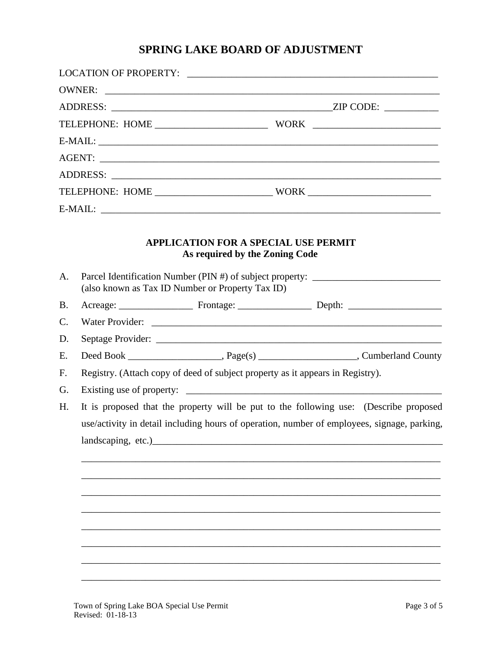# SPRING LAKE BOARD OF ADJUSTMENT

| A.        |                                                                                | <b>APPLICATION FOR A SPECIAL USE PERMIT</b><br>As required by the Zoning Code<br>Parcel Identification Number (PIN #) of subject property: _______________________ |  |  |  |
|-----------|--------------------------------------------------------------------------------|--------------------------------------------------------------------------------------------------------------------------------------------------------------------|--|--|--|
|           |                                                                                | (also known as Tax ID Number or Property Tax ID)                                                                                                                   |  |  |  |
| <b>B.</b> |                                                                                |                                                                                                                                                                    |  |  |  |
| C.        |                                                                                |                                                                                                                                                                    |  |  |  |
| D.        |                                                                                |                                                                                                                                                                    |  |  |  |
| E.        |                                                                                |                                                                                                                                                                    |  |  |  |
| F.        | Registry. (Attach copy of deed of subject property as it appears in Registry). |                                                                                                                                                                    |  |  |  |
| G.        |                                                                                |                                                                                                                                                                    |  |  |  |
| H.        |                                                                                | It is proposed that the property will be put to the following use: (Describe proposed                                                                              |  |  |  |
|           |                                                                                | use/activity in detail including hours of operation, number of employees, signage, parking,                                                                        |  |  |  |
|           | landscaping, etc.)_                                                            |                                                                                                                                                                    |  |  |  |
|           |                                                                                |                                                                                                                                                                    |  |  |  |
|           |                                                                                |                                                                                                                                                                    |  |  |  |
|           |                                                                                |                                                                                                                                                                    |  |  |  |
|           |                                                                                |                                                                                                                                                                    |  |  |  |
|           |                                                                                |                                                                                                                                                                    |  |  |  |
|           |                                                                                |                                                                                                                                                                    |  |  |  |
|           |                                                                                |                                                                                                                                                                    |  |  |  |
|           |                                                                                |                                                                                                                                                                    |  |  |  |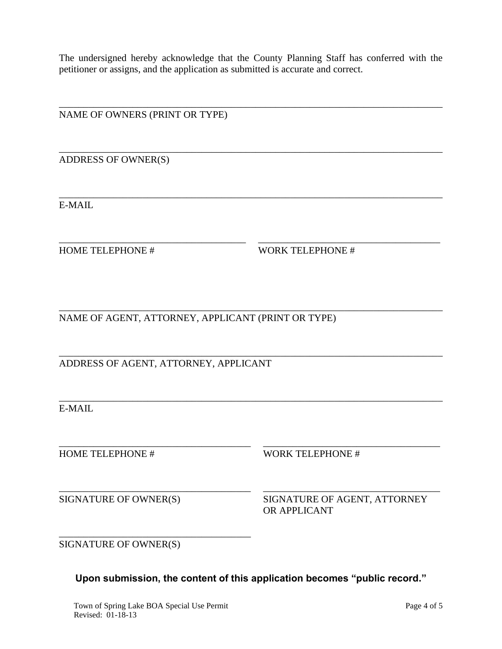The undersigned hereby acknowledge that the County Planning Staff has conferred with the petitioner or assigns, and the application as submitted is accurate and correct.

\_\_\_\_\_\_\_\_\_\_\_\_\_\_\_\_\_\_\_\_\_\_\_\_\_\_\_\_\_\_\_\_\_\_\_\_\_\_\_\_\_\_\_\_\_\_\_\_\_\_\_\_\_\_\_\_\_\_\_\_\_\_\_\_\_\_\_\_\_\_\_\_\_\_\_\_\_\_

\_\_\_\_\_\_\_\_\_\_\_\_\_\_\_\_\_\_\_\_\_\_\_\_\_\_\_\_\_\_\_\_\_\_\_\_\_\_\_\_\_\_\_\_\_\_\_\_\_\_\_\_\_\_\_\_\_\_\_\_\_\_\_\_\_\_\_\_\_\_\_\_\_\_\_\_\_\_

\_\_\_\_\_\_\_\_\_\_\_\_\_\_\_\_\_\_\_\_\_\_\_\_\_\_\_\_\_\_\_\_\_\_\_\_\_\_\_\_\_\_\_\_\_\_\_\_\_\_\_\_\_\_\_\_\_\_\_\_\_\_\_\_\_\_\_\_\_\_\_\_\_\_\_\_\_\_

\_\_\_\_\_\_\_\_\_\_\_\_\_\_\_\_\_\_\_\_\_\_\_\_\_\_\_\_\_\_\_\_\_\_\_\_\_\_ \_\_\_\_\_\_\_\_\_\_\_\_\_\_\_\_\_\_\_\_\_\_\_\_\_\_\_\_\_\_\_\_\_\_\_\_\_

\_\_\_\_\_\_\_\_\_\_\_\_\_\_\_\_\_\_\_\_\_\_\_\_\_\_\_\_\_\_\_\_\_\_\_\_\_\_\_\_\_\_\_\_\_\_\_\_\_\_\_\_\_\_\_\_\_\_\_\_\_\_\_\_\_\_\_\_\_\_\_\_\_\_\_\_\_\_

\_\_\_\_\_\_\_\_\_\_\_\_\_\_\_\_\_\_\_\_\_\_\_\_\_\_\_\_\_\_\_\_\_\_\_\_\_\_\_\_\_\_\_\_\_\_\_\_\_\_\_\_\_\_\_\_\_\_\_\_\_\_\_\_\_\_\_\_\_\_\_\_\_\_\_\_\_\_

\_\_\_\_\_\_\_\_\_\_\_\_\_\_\_\_\_\_\_\_\_\_\_\_\_\_\_\_\_\_\_\_\_\_\_\_\_\_\_\_\_\_\_\_\_\_\_\_\_\_\_\_\_\_\_\_\_\_\_\_\_\_\_\_\_\_\_\_\_\_\_\_\_\_\_\_\_\_

\_\_\_\_\_\_\_\_\_\_\_\_\_\_\_\_\_\_\_\_\_\_\_\_\_\_\_\_\_\_\_\_\_\_\_\_\_\_\_ \_\_\_\_\_\_\_\_\_\_\_\_\_\_\_\_\_\_\_\_\_\_\_\_\_\_\_\_\_\_\_\_\_\_\_\_

\_\_\_\_\_\_\_\_\_\_\_\_\_\_\_\_\_\_\_\_\_\_\_\_\_\_\_\_\_\_\_\_\_\_\_\_\_\_\_ \_\_\_\_\_\_\_\_\_\_\_\_\_\_\_\_\_\_\_\_\_\_\_\_\_\_\_\_\_\_\_\_\_\_\_\_

NAME OF OWNERS (PRINT OR TYPE)

ADDRESS OF OWNER(S)

E-MAIL

HOME TELEPHONE # WORK TELEPHONE #

NAME OF AGENT, ATTORNEY, APPLICANT (PRINT OR TYPE)

ADDRESS OF AGENT, ATTORNEY, APPLICANT

E-MAIL

HOME TELEPHONE # WORK TELEPHONE #

SIGNATURE OF OWNER(S) SIGNATURE OF AGENT, ATTORNEY OR APPLICANT

SIGNATURE OF OWNER(S)

**Upon submission, the content of this application becomes "public record."**

\_\_\_\_\_\_\_\_\_\_\_\_\_\_\_\_\_\_\_\_\_\_\_\_\_\_\_\_\_\_\_\_\_\_\_\_\_\_\_